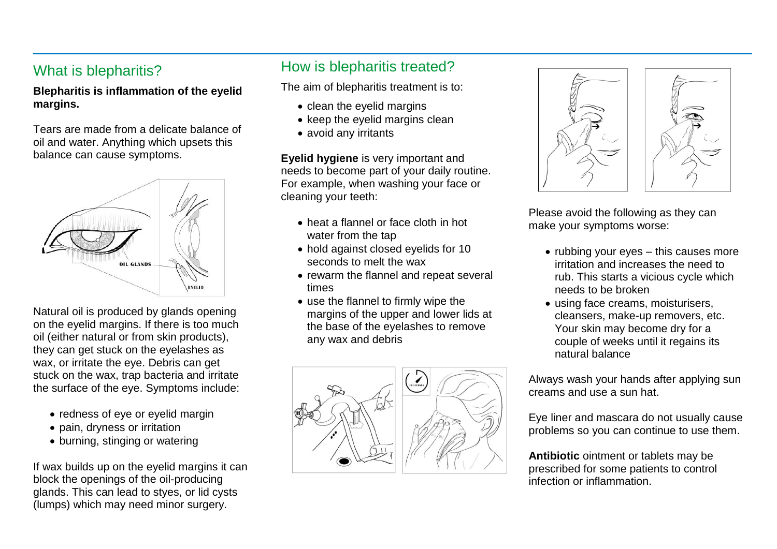#### What is blepharitis?

**Blepharitis is inflammation of the eyelid margins.**

Tears are made from a delicate balance of oil and water. Anything which upsets this balance can cause symptoms.



Natural oil is produced by glands opening on the eyelid margins. If there is too much oil (either natural or from skin products), they can get stuck on the eyelashes as wax, or irritate the eye. Debris can get stuck on the wax, trap bacteria and irritate the surface of the eye. Symptoms include:

- redness of eye or eyelid margin
- pain, dryness or irritation
- burning, stinging or watering

If wax builds up on the eyelid margins it can block the openings of the oil-producing glands. This can lead to styes, or lid cysts (lumps) which may need minor surgery.

## How is blepharitis treated?

The aim of blepharitis treatment is to:

- clean the eyelid margins
- $\bullet$  keep the evelid margins clean
- avoid any irritants

**Eyelid hygiene** is very important and needs to become part of your daily routine. For example, when washing your face or cleaning your teeth:

- heat a flannel or face cloth in hot water from the tap
- hold against closed eyelids for 10 seconds to melt the wax
- rewarm the flannel and repeat several times
- use the flannel to firmly wipe the margins of the upper and lower lids at the base of the eyelashes to remove any wax and debris





Please avoid the following as they can make your symptoms worse:

- $\bullet$  rubbing your eyes this causes more irritation and increases the need to rub. This starts a vicious cycle which needs to be broken
- using face creams, moisturisers, cleansers, make-up removers, etc. Your skin may become dry for a couple of weeks until it regains its natural balance

Always wash your hands after applying sun creams and use a sun hat.

Eye liner and mascara do not usually cause problems so you can continue to use them.

**Antibiotic** ointment or tablets may be prescribed for some patients to control infection or inflammation.